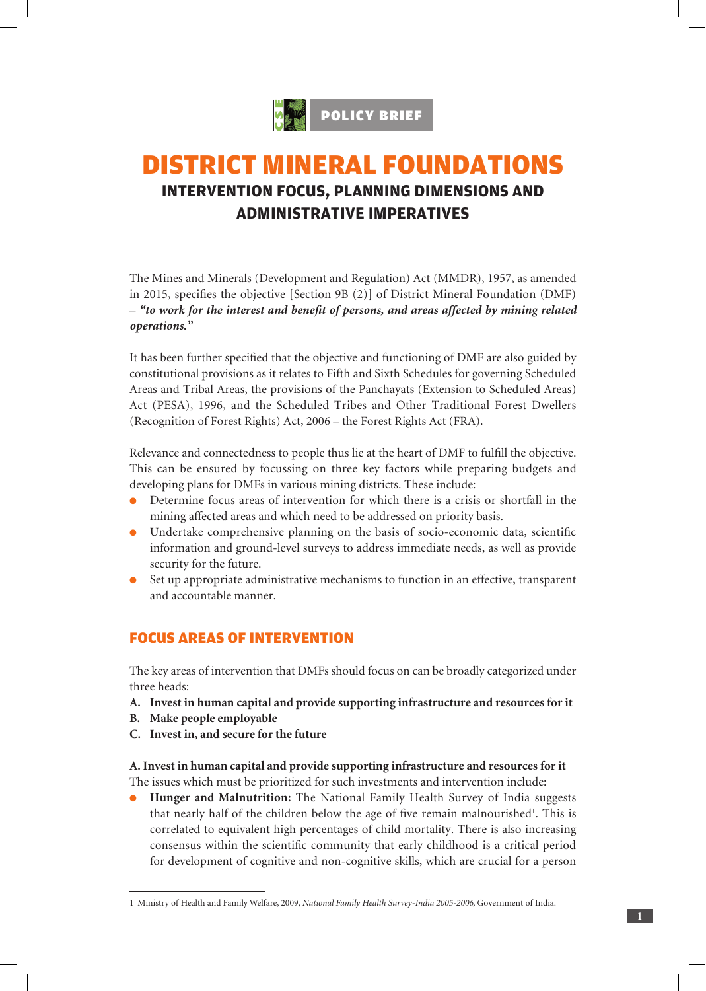

# DISTRICT MINERAL FOUNDATIONS **INTERVENTION FOCUS, PLANNING DIMENSIONS AND ADMINISTRATIVE IMPERATIVES**

The Mines and Minerals (Development and Regulation) Act (MMDR), 1957, as amended in 2015, specifies the objective [Section 9B (2)] of District Mineral Foundation (DMF) – *"to work for the interest and benefit of persons, and areas affected by mining related operations."*

It has been further specified that the objective and functioning of DMF are also guided by constitutional provisions as it relates to Fifth and Sixth Schedules for governing Scheduled Areas and Tribal Areas, the provisions of the Panchayats (Extension to Scheduled Areas) Act (PESA), 1996, and the Scheduled Tribes and Other Traditional Forest Dwellers (Recognition of Forest Rights) Act, 2006 – the Forest Rights Act (FRA).

Relevance and connectedness to people thus lie at the heart of DMF to fulfill the objective. This can be ensured by focussing on three key factors while preparing budgets and developing plans for DMFs in various mining districts. These include:

- l Determine focus areas of intervention for which there is a crisis or shortfall in the mining affected areas and which need to be addressed on priority basis.
- **ID** Undertake comprehensive planning on the basis of socio-economic data, scientific information and ground-level surveys to address immediate needs, as well as provide security for the future.
- $\bullet$  Set up appropriate administrative mechanisms to function in an effective, transparent and accountable manner.

## FOCUS AREAS OF INTERVENTION

The key areas of intervention that DMFs should focus on can be broadly categorized under three heads:

- **A. Invest in human capital and provide supporting infrastructure and resources for it**
- **B. Make people employable**
- **C. Invest in, and secure for the future**

**A. Invest in human capital and provide supporting infrastructure and resources for it** The issues which must be prioritized for such investments and intervention include:

**• Hunger and Malnutrition:** The National Family Health Survey of India suggests that nearly half of the children below the age of five remain malnourished<sup>1</sup>. This is correlated to equivalent high percentages of child mortality. There is also increasing consensus within the scientific community that early childhood is a critical period for development of cognitive and non-cognitive skills, which are crucial for a person

<sup>1</sup> Ministry of Health and Family Welfare, 2009, *National Family Health Survey-India 2005-2006,* Government of India.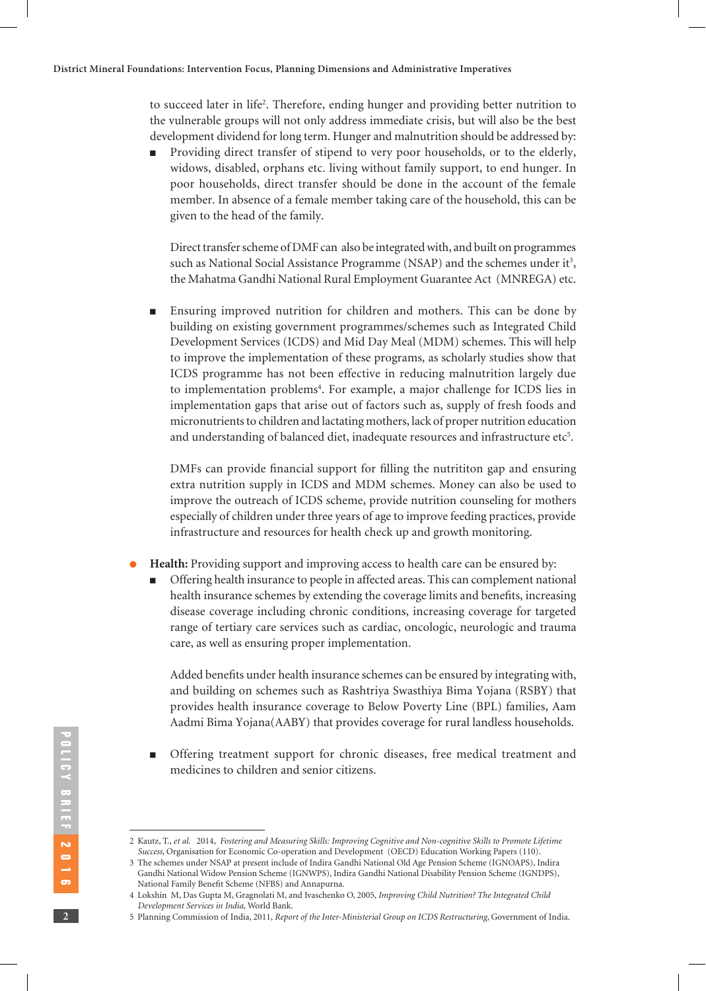to succeed later in life2 . Therefore, ending hunger and providing better nutrition to the vulnerable groups will not only address immediate crisis, but will also be the best development dividend for long term. Hunger and malnutrition should be addressed by:

Providing direct transfer of stipend to very poor households, or to the elderly, widows, disabled, orphans etc. living without family support, to end hunger. In poor households, direct transfer should be done in the account of the female member. In absence of a female member taking care of the household, this can be given to the head of the family.

Direct transfer scheme of DMF can also be integrated with, and built on programmes such as National Social Assistance Programme (NSAP) and the schemes under it<sup>3</sup>, the Mahatma Gandhi National Rural Employment Guarantee Act (MNREGA) etc.

<sup>n</sup> Ensuring improved nutrition for children and mothers. This can be done by building on existing government programmes/schemes such as Integrated Child Development Services (ICDS) and Mid Day Meal (MDM) schemes. This will help to improve the implementation of these programs, as scholarly studies show that ICDS programme has not been effective in reducing malnutrition largely due to implementation problems<sup>4</sup>. For example, a major challenge for ICDS lies in implementation gaps that arise out of factors such as, supply of fresh foods and micronutrients to children and lactating mothers, lack of proper nutrition education and understanding of balanced diet, inadequate resources and infrastructure etc $5$ .

DMFs can provide financial support for filling the nutrititon gap and ensuring extra nutrition supply in ICDS and MDM schemes. Money can also be used to improve the outreach of ICDS scheme, provide nutrition counseling for mothers especially of children under three years of age to improve feeding practices, provide infrastructure and resources for health check up and growth monitoring.

- Health: Providing support and improving access to health care can be ensured by:
	- <sup>n</sup> Offering health insurance to people in affected areas. This can complement national health insurance schemes by extending the coverage limits and benefits, increasing disease coverage including chronic conditions, increasing coverage for targeted range of tertiary care services such as cardiac, oncologic, neurologic and trauma care, as well as ensuring proper implementation.

 Added benefits under health insurance schemes can be ensured by integrating with, and building on schemes such as Rashtriya Swasthiya Bima Yojana (RSBY) that provides health insurance coverage to Below Poverty Line (BPL) families, Aam Aadmi Bima Yojana(AABY) that provides coverage for rural landless households.

<sup>n</sup> Offering treatment support for chronic diseases, free medical treatment and medicines to children and senior citizens.

<sup>2</sup> Kautz, T., *et al*. 2014, *Fostering and Measuring Skills: Improving Cognitive and Non-cognitive Skills to Promote Lifetime Success*, Organisation for Economic Co-operation and Development (OECD) Education Working Papers (110).

<sup>3</sup> The schemes under NSAP at present include of Indira Gandhi National Old Age Pension Scheme (IGNOAPS), Indira Gandhi National Widow Pension Scheme (IGNWPS), Indira Gandhi National Disability Pension Scheme (IGNDPS), National Family Benefit Scheme (NFBS) and Annapurna.

<sup>4</sup> Lokshin M, Das Gupta M, Gragnolati M, and Ivaschenko O, 2005, *Improving Child Nutrition? The Integrated Child Development Services in India,* World Bank.

<sup>5</sup> Planning Commission of India, 2011, *Report of the Inter-Ministerial Group on ICDS Restructuring*, Government of India.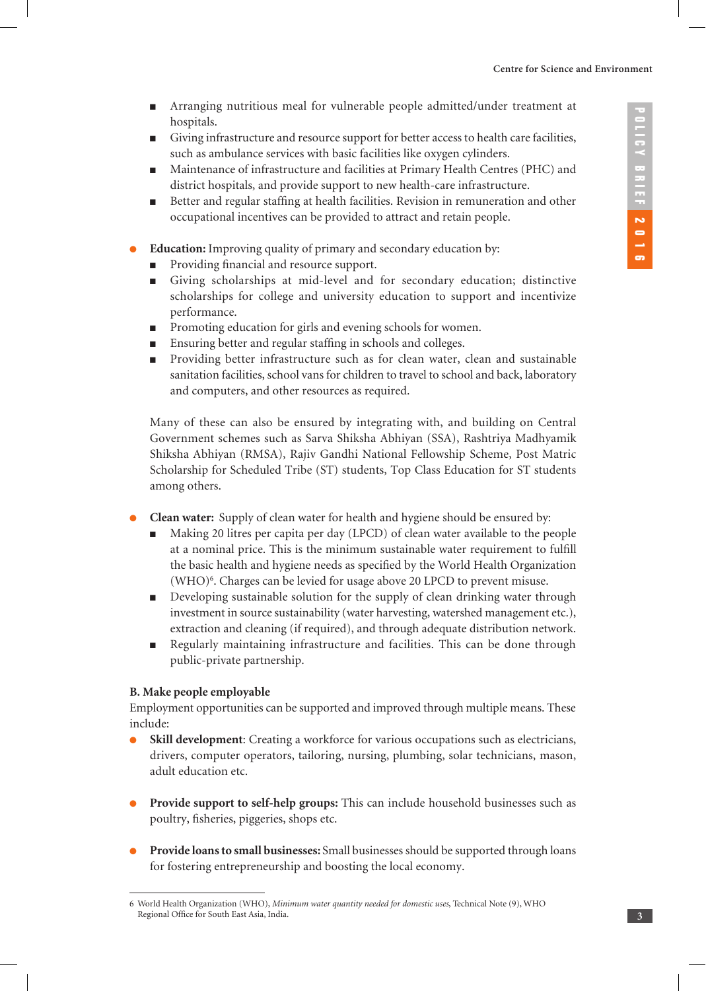- <sup>n</sup> Arranging nutritious meal for vulnerable people admitted/under treatment at hospitals.
- <sup>n</sup> Giving infrastructure and resource support for better access to health care facilities, such as ambulance services with basic facilities like oxygen cylinders.
- <sup>n</sup> Maintenance of infrastructure and facilities at Primary Health Centres (PHC) and district hospitals, and provide support to new health-care infrastructure.
- <sup>n</sup> Better and regular staffing at health facilities. Revision in remuneration and other occupational incentives can be provided to attract and retain people.
- Education: Improving quality of primary and secondary education by:
	- **n** Providing financial and resource support.
	- <sup>n</sup> Giving scholarships at mid-level and for secondary education; distinctive scholarships for college and university education to support and incentivize performance.
	- Promoting education for girls and evening schools for women.
	- <sup>n</sup> Ensuring better and regular staffing in schools and colleges.
	- n Providing better infrastructure such as for clean water, clean and sustainable sanitation facilities, school vans for children to travel to school and back, laboratory and computers, and other resources as required.

Many of these can also be ensured by integrating with, and building on Central Government schemes such as Sarva Shiksha Abhiyan (SSA), Rashtriya Madhyamik Shiksha Abhiyan (RMSA), Rajiv Gandhi National Fellowship Scheme, Post Matric Scholarship for Scheduled Tribe (ST) students, Top Class Education for ST students among others.

- l **Clean water:** Supply of clean water for health and hygiene should be ensured by:
	- <sup>n</sup> Making 20 litres per capita per day (LPCD) of clean water available to the people at a nominal price. This is the minimum sustainable water requirement to fulfill the basic health and hygiene needs as specified by the World Health Organization (WHO)6 . Charges can be levied for usage above 20 LPCD to prevent misuse.
	- <sup>n</sup> Developing sustainable solution for the supply of clean drinking water through investment in source sustainability (water harvesting, watershed management etc.), extraction and cleaning (if required), and through adequate distribution network.
	- <sup>n</sup> Regularly maintaining infrastructure and facilities. This can be done through public-private partnership.

### **B. Make people employable**

Employment opportunities can be supported and improved through multiple means. These include:

- **.** Skill development: Creating a workforce for various occupations such as electricians, drivers, computer operators, tailoring, nursing, plumbing, solar technicians, mason, adult education etc.
- **Provide support to self-help groups:** This can include household businesses such as poultry, fisheries, piggeries, shops etc.
- l **Provide loans to small businesses:** Small businesses should be supported through loans for fostering entrepreneurship and boosting the local economy.

<sup>6</sup> World Health Organization (WHO), *Minimum water quantity needed for domestic uses*, Technical Note (9), WHO Regional Office for South East Asia, India.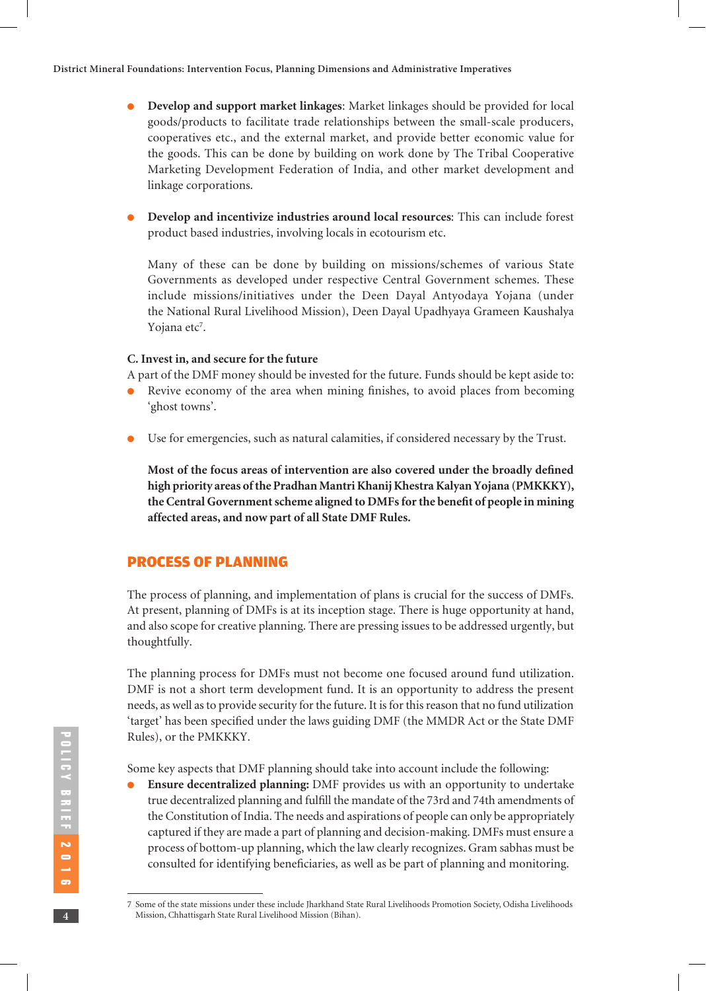- **Develop and support market linkages**: Market linkages should be provided for local goods/products to facilitate trade relationships between the small-scale producers, cooperatives etc., and the external market, and provide better economic value for the goods. This can be done by building on work done by The Tribal Cooperative Marketing Development Federation of India, and other market development and linkage corporations.
- **Develop and incentivize industries around local resources:** This can include forest product based industries, involving locals in ecotourism etc.

Many of these can be done by building on missions/schemes of various State Governments as developed under respective Central Government schemes. These include missions/initiatives under the Deen Dayal Antyodaya Yojana (under the National Rural Livelihood Mission), Deen Dayal Upadhyaya Grameen Kaushalya Yojana etc<sup>7</sup>.

### **C. Invest in, and secure for the future**

A part of the DMF money should be invested for the future. Funds should be kept aside to:

- l Revive economy of the area when mining finishes, to avoid places from becoming 'ghost towns'.
- **IDE Use for emergencies, such as natural calamities, if considered necessary by the Trust.**

**Most of the focus areas of intervention are also covered under the broadly defined high priority areas of the Pradhan Mantri Khanij Khestra Kalyan Yojana (PMKKKY), the Central Government scheme aligned to DMFs for the benefit of people in mining affected areas, and now part of all State DMF Rules.**

## PROCESS OF PLANNING

The process of planning, and implementation of plans is crucial for the success of DMFs. At present, planning of DMFs is at its inception stage. There is huge opportunity at hand, and also scope for creative planning. There are pressing issues to be addressed urgently, but thoughtfully.

The planning process for DMFs must not become one focused around fund utilization. DMF is not a short term development fund. It is an opportunity to address the present needs, as well as to provide security for the future. It is for this reason that no fund utilization 'target' has been specified under the laws guiding DMF (the MMDR Act or the State DMF Rules), or the PMKKKY.

Some key aspects that DMF planning should take into account include the following:

l **Ensure decentralized planning:** DMF provides us with an opportunity to undertake true decentralized planning and fulfill the mandate of the 73rd and 74th amendments of the Constitution of India. The needs and aspirations of people can only be appropriately captured if they are made a part of planning and decision-making. DMFs must ensure a process of bottom-up planning, which the law clearly recognizes. Gram sabhas must be consulted for identifying beneficiaries, as well as be part of planning and monitoring.

<sup>7</sup> Some of the state missions under these include Jharkhand State Rural Livelihoods Promotion Society, Odisha Livelihoods Mission, Chhattisgarh State Rural Livelihood Mission (Bihan).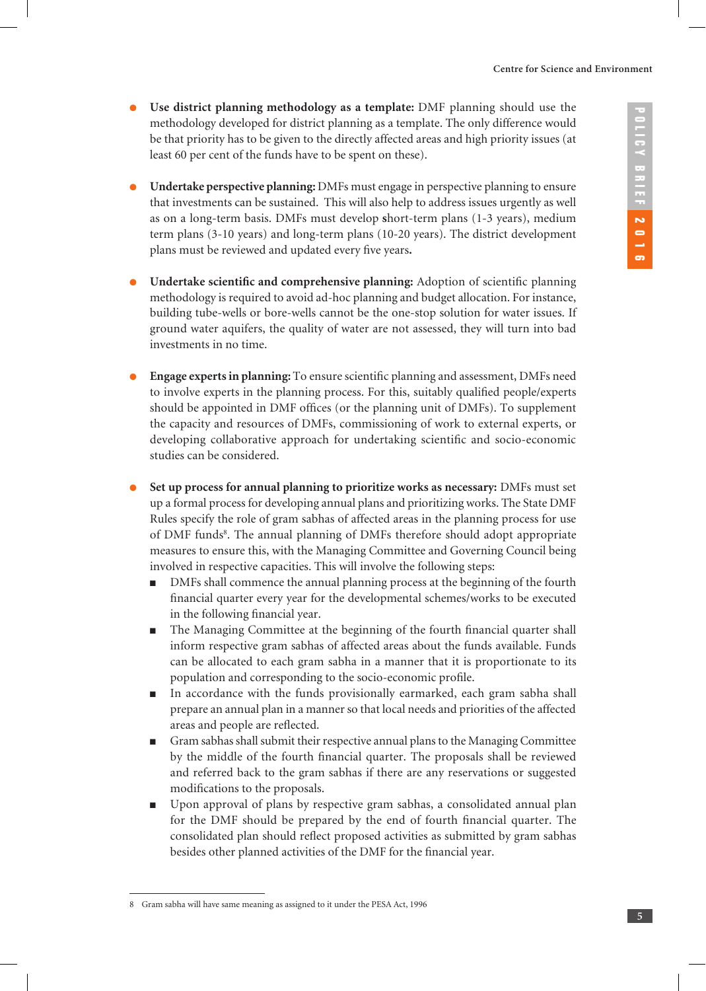- l **Use district planning methodology as a template:** DMF planning should use the methodology developed for district planning as a template. The only difference would be that priority has to be given to the directly affected areas and high priority issues (at least 60 per cent of the funds have to be spent on these).
- l **Undertake perspective planning:** DMFs must engage in perspective planning to ensure that investments can be sustained. This will also help to address issues urgently as well as on a long-term basis. DMFs must develop **s**hort-term plans (1-3 years), medium term plans (3-10 years) and long-term plans (10-20 years). The district development plans must be reviewed and updated every five years**.**
- l **Undertake scientific and comprehensive planning:** Adoption of scientific planning methodology is required to avoid ad-hoc planning and budget allocation. For instance, building tube-wells or bore-wells cannot be the one-stop solution for water issues. If ground water aquifers, the quality of water are not assessed, they will turn into bad investments in no time.
- l **Engage experts in planning:** To ensure scientific planning and assessment, DMFs need to involve experts in the planning process. For this, suitably qualified people/experts should be appointed in DMF offices (or the planning unit of DMFs). To supplement the capacity and resources of DMFs, commissioning of work to external experts, or developing collaborative approach for undertaking scientific and socio-economic studies can be considered.
- l **Set up process for annual planning to prioritize works as necessary:** DMFs must set up a formal process for developing annual plans and prioritizing works. The State DMF Rules specify the role of gram sabhas of affected areas in the planning process for use of DMF funds<sup>8</sup>. The annual planning of DMFs therefore should adopt appropriate measures to ensure this, with the Managing Committee and Governing Council being involved in respective capacities. This will involve the following steps:
	- <sup>n</sup> DMFs shall commence the annual planning process at the beginning of the fourth financial quarter every year for the developmental schemes/works to be executed in the following financial year.
	- <sup>n</sup> The Managing Committee at the beginning of the fourth financial quarter shall inform respective gram sabhas of affected areas about the funds available. Funds can be allocated to each gram sabha in a manner that it is proportionate to its population and corresponding to the socio-economic profile.
	- <sup>n</sup> In accordance with the funds provisionally earmarked, each gram sabha shall prepare an annual plan in a manner so that local needs and priorities of the affected areas and people are reflected.
	- <sup>n</sup> Gram sabhas shall submit their respective annual plans to the Managing Committee by the middle of the fourth financial quarter. The proposals shall be reviewed and referred back to the gram sabhas if there are any reservations or suggested modifications to the proposals.
	- <sup>n</sup> Upon approval of plans by respective gram sabhas, a consolidated annual plan for the DMF should be prepared by the end of fourth financial quarter. The consolidated plan should reflect proposed activities as submitted by gram sabhas besides other planned activities of the DMF for the financial year.

<sup>8</sup> Gram sabha will have same meaning as assigned to it under the PESA Act, 1996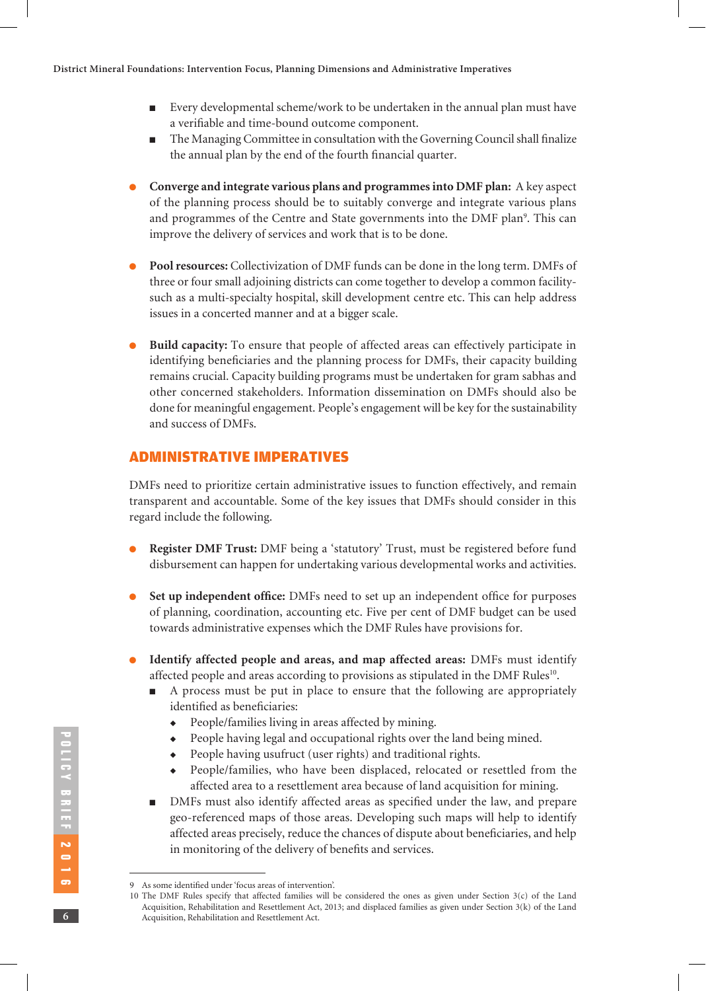- <sup>n</sup> Every developmental scheme/work to be undertaken in the annual plan must have a verifiable and time-bound outcome component.
- The Managing Committee in consultation with the Governing Council shall finalize the annual plan by the end of the fourth financial quarter.
- l **Converge and integrate various plans and programmes into DMF plan:** A key aspect of the planning process should be to suitably converge and integrate various plans and programmes of the Centre and State governments into the DMF plan<sup>9</sup>. This can improve the delivery of services and work that is to be done.
- l **Pool resources:** Collectivization of DMF funds can be done in the long term. DMFs of three or four small adjoining districts can come together to develop a common facilitysuch as a multi-specialty hospital, skill development centre etc. This can help address issues in a concerted manner and at a bigger scale.
- l **Build capacity:** To ensure that people of affected areas can effectively participate in identifying beneficiaries and the planning process for DMFs, their capacity building remains crucial. Capacity building programs must be undertaken for gram sabhas and other concerned stakeholders. Information dissemination on DMFs should also be done for meaningful engagement. People's engagement will be key for the sustainability and success of DMFs.

## ADMINISTRATIVE IMPERATIVES

DMFs need to prioritize certain administrative issues to function effectively, and remain transparent and accountable. Some of the key issues that DMFs should consider in this regard include the following.

- l **Register DMF Trust:** DMF being a 'statutory' Trust, must be registered before fund disbursement can happen for undertaking various developmental works and activities.
- **Set up independent office:** DMFs need to set up an independent office for purposes of planning, coordination, accounting etc. Five per cent of DMF budget can be used towards administrative expenses which the DMF Rules have provisions for.
- l **Identify affected people and areas, and map affected areas:** DMFs must identify affected people and areas according to provisions as stipulated in the DMF Rules<sup>10</sup>.
	- <sup>n</sup> A process must be put in place to ensure that the following are appropriately identified as beneficiaries:
		- $\bullet$  People/families living in areas affected by mining.
		- People having legal and occupational rights over the land being mined.
		- $\rightarrow$  People having usufruct (user rights) and traditional rights.
		- <sup>u</sup> People/families, who have been displaced, relocated or resettled from the affected area to a resettlement area because of land acquisition for mining.
	- <sup>n</sup> DMFs must also identify affected areas as specified under the law, and prepare geo-referenced maps of those areas. Developing such maps will help to identify affected areas precisely, reduce the chances of dispute about beneficiaries, and help in monitoring of the delivery of benefits and services.

<sup>9</sup> As some identified under 'focus areas of intervention'.

<sup>10</sup> The DMF Rules specify that affected families will be considered the ones as given under Section 3(c) of the Land Acquisition, Rehabilitation and Resettlement Act, 2013; and displaced families as given under Section 3(k) of the Land Acquisition, Rehabilitation and Resettlement Act.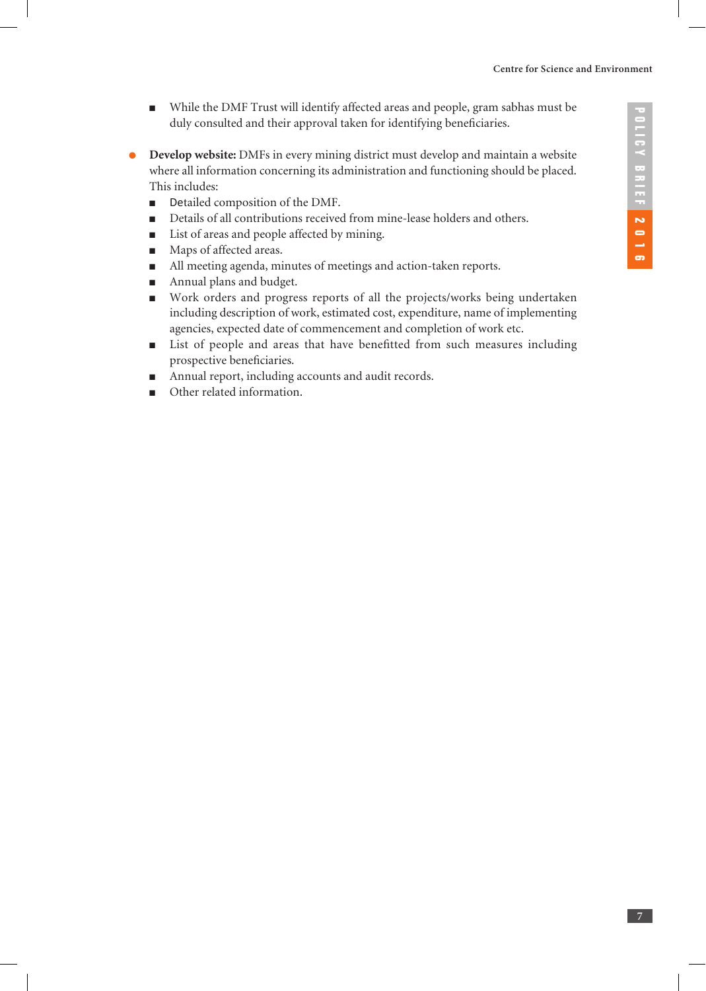- <sup>n</sup> While the DMF Trust will identify affected areas and people, gram sabhas must be duly consulted and their approval taken for identifying beneficiaries.
- **Develop website:** DMFs in every mining district must develop and maintain a website where all information concerning its administration and functioning should be placed. This includes:
	- **n** Detailed composition of the DMF.
	- <sup>n</sup> Details of all contributions received from mine-lease holders and others.
	- List of areas and people affected by mining.
	- Maps of affected areas.
	- <sup>n</sup> All meeting agenda, minutes of meetings and action-taken reports.
	- **n** Annual plans and budget.
	- <sup>n</sup> Work orders and progress reports of all the projects/works being undertaken including description of work, estimated cost, expenditure, name of implementing agencies, expected date of commencement and completion of work etc.
	- <sup>n</sup> List of people and areas that have benefitted from such measures including prospective beneficiaries.
	- Annual report, including accounts and audit records.
	- Other related information.